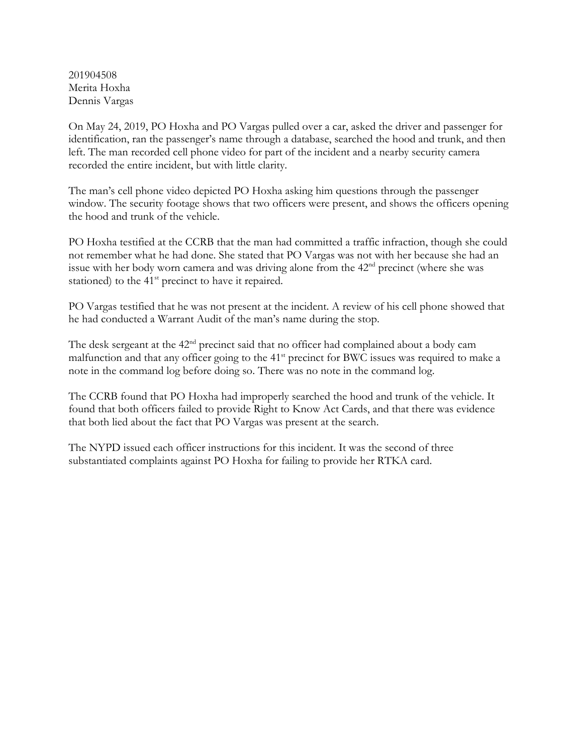201904508 Merita Hoxha Dennis Vargas

On May 24, 2019, PO Hoxha and PO Vargas pulled over a car, asked the driver and passenger for identification, ran the passenger's name through a database, searched the hood and trunk, and then left. The man recorded cell phone video for part of the incident and a nearby security camera recorded the entire incident, but with little clarity.

The man's cell phone video depicted PO Hoxha asking him questions through the passenger window. The security footage shows that two officers were present, and shows the officers opening the hood and trunk of the vehicle.

PO Hoxha testified at the CCRB that the man had committed a traffic infraction, though she could not remember what he had done. She stated that PO Vargas was not with her because she had an issue with her body worn camera and was driving alone from the 42<sup>nd</sup> precinct (where she was stationed) to the  $41<sup>st</sup>$  precinct to have it repaired.

PO Vargas testified that he was not present at the incident. A review of his cell phone showed that he had conducted a Warrant Audit of the man's name during the stop.

The desk sergeant at the 42<sup>nd</sup> precinct said that no officer had complained about a body cam malfunction and that any officer going to the 41<sup>st</sup> precinct for BWC issues was required to make a note in the command log before doing so. There was no note in the command log.

The CCRB found that PO Hoxha had improperly searched the hood and trunk of the vehicle. It found that both officers failed to provide Right to Know Act Cards, and that there was evidence that both lied about the fact that PO Vargas was present at the search.

The NYPD issued each officer instructions for this incident. It was the second of three substantiated complaints against PO Hoxha for failing to provide her RTKA card.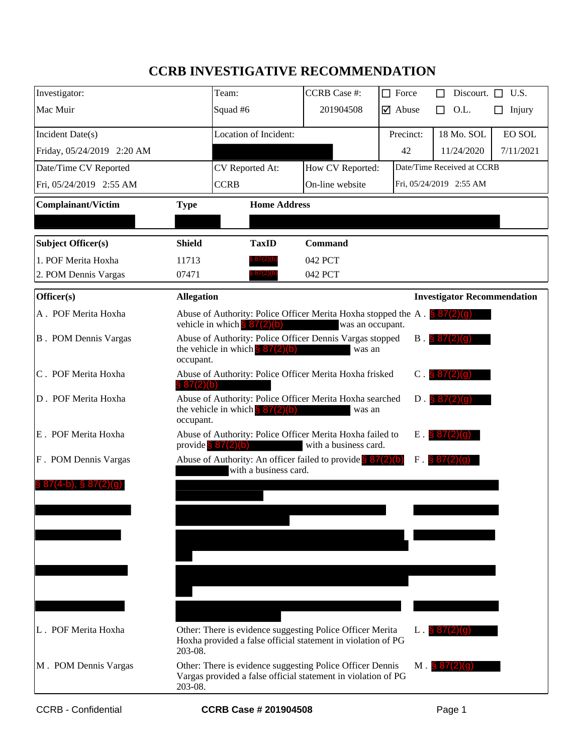## **CCRB INVESTIGATIVE RECOMMENDATION**

| Investigator:                |                   | Team:                                                                                           | <b>CCRB</b> Case #:   | П | Force                         |   | Discourt. $\Box$ U.S.      |                                    |
|------------------------------|-------------------|-------------------------------------------------------------------------------------------------|-----------------------|---|-------------------------------|---|----------------------------|------------------------------------|
| Mac Muir                     |                   | Squad #6                                                                                        | 201904508             |   | $\overline{\mathsf{q}}$ Abuse |   | O.L.                       |                                    |
|                              |                   |                                                                                                 |                       |   |                               | П |                            | Injury                             |
| Incident Date(s)             |                   | Location of Incident:                                                                           |                       |   | Precinct:                     |   | 18 Mo. SOL                 | <b>EO SOL</b>                      |
| Friday, 05/24/2019 2:20 AM   |                   |                                                                                                 |                       |   | 42                            |   | 11/24/2020                 | 7/11/2021                          |
| Date/Time CV Reported        |                   | CV Reported At:                                                                                 | How CV Reported:      |   |                               |   | Date/Time Received at CCRB |                                    |
| Fri, 05/24/2019 2:55 AM      |                   | <b>CCRB</b>                                                                                     | On-line website       |   | Fri, 05/24/2019 2:55 AM       |   |                            |                                    |
| <b>Complainant/Victim</b>    | <b>Type</b>       | <b>Home Address</b>                                                                             |                       |   |                               |   |                            |                                    |
|                              |                   |                                                                                                 |                       |   |                               |   |                            |                                    |
| Subject Officer(s)           | <b>Shield</b>     | <b>TaxID</b>                                                                                    | <b>Command</b>        |   |                               |   |                            |                                    |
| 1. POF Merita Hoxha          | 11713             | 87 (∠) (D                                                                                       | 042 PCT               |   |                               |   |                            |                                    |
| 2. POM Dennis Vargas         | 07471             | , ४/ (2)(t                                                                                      | 042 PCT               |   |                               |   |                            |                                    |
| Officer(s)                   | <b>Allegation</b> |                                                                                                 |                       |   |                               |   |                            | <b>Investigator Recommendation</b> |
| A. POF Merita Hoxha          |                   | Abuse of Authority: Police Officer Merita Hoxha stopped the A. $\frac{1}{9}$ 87(2)(g)           |                       |   |                               |   |                            |                                    |
|                              |                   | vehicle in which $\frac{8}{5}$ 87(2)(b)                                                         | was an occupant.      |   |                               |   |                            |                                    |
| <b>B</b> . POM Dennis Vargas |                   | Abuse of Authority: Police Officer Dennis Vargas stopped<br>the vehicle in which $\S 87(2)(b)$  | was an                |   |                               |   | $B. \$ $87(2)(g)$          |                                    |
|                              | occupant.         |                                                                                                 |                       |   |                               |   |                            |                                    |
| C. POF Merita Hoxha          | \$87(2)(b)        | Abuse of Authority: Police Officer Merita Hoxha frisked                                         |                       |   | $\mathbf C$ .                 |   | \$87(2)(q)                 |                                    |
| D. POF Merita Hoxha          |                   | Abuse of Authority: Police Officer Merita Hoxha searched                                        |                       |   | $D$ .                         |   | 87(2)(9)                   |                                    |
|                              | occupant.         | the vehicle in which $\S 87(2)(b)$                                                              | was an                |   |                               |   |                            |                                    |
| E. POF Merita Hoxha          |                   | Abuse of Authority: Police Officer Merita Hoxha failed to                                       |                       |   | E                             |   | \$87(2)(q)                 |                                    |
|                              |                   | provide $\frac{8}{3}$ 87(2)(b)                                                                  | with a business card. |   |                               |   |                            |                                    |
| F. POM Dennis Vargas         |                   | Abuse of Authority: An officer failed to provide $\binom{8}{37(2)(b)}$<br>with a business card. |                       |   | $F$ .                         |   |                            |                                    |
|                              |                   |                                                                                                 |                       |   |                               |   |                            |                                    |
|                              |                   |                                                                                                 |                       |   |                               |   |                            |                                    |
|                              |                   |                                                                                                 |                       |   |                               |   |                            |                                    |
|                              |                   |                                                                                                 |                       |   |                               |   |                            |                                    |
|                              |                   |                                                                                                 |                       |   |                               |   |                            |                                    |
|                              |                   |                                                                                                 |                       |   |                               |   |                            |                                    |
|                              |                   |                                                                                                 |                       |   |                               |   |                            |                                    |
|                              |                   |                                                                                                 |                       |   |                               |   |                            |                                    |
| L. POF Merita Hoxha          |                   | Other: There is evidence suggesting Police Officer Merita                                       |                       |   | $L.887(2)$ (c)                |   |                            |                                    |
|                              | 203-08.           | Hoxha provided a false official statement in violation of PG                                    |                       |   |                               |   |                            |                                    |
| M. POM Dennis Vargas         |                   | Other: There is evidence suggesting Police Officer Dennis                                       |                       |   |                               |   | $M.$ \$ $87(2)(q)$         |                                    |
|                              | 203-08.           | Vargas provided a false official statement in violation of PG                                   |                       |   |                               |   |                            |                                    |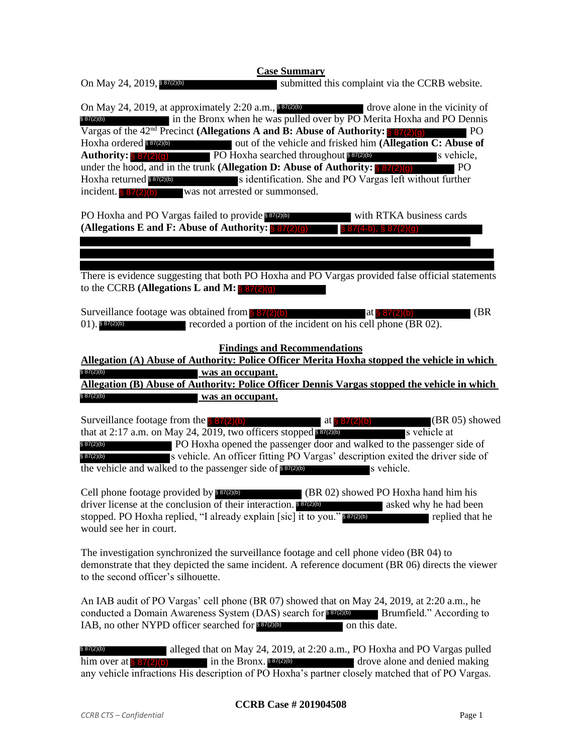submitted this complaint via the CCRB website. On May 24, 2019, at approximately 2:20 a.m., 887(2)(b) drove alone in the vicinity of  $\blacksquare$  in the Bronx when he was pulled over by PO Merita Hoxha and PO Dennis Vargas of the 42<sup>nd</sup> Precinct **(Allegations A and B: Abuse of Authority: 8 87(2)(a)** PO If out of the vehicle and frisked him **(Allegation C: Abuse of** Authority: § 87(2)(g) PO Hoxha searched throughout \$87(2)(b) s vehicle, under the hood, and in the trunk **(Allegation D: Abuse of Authority:**  $\frac{87(2)(q)}{q}$  PO  $\blacksquare$ s identification. She and PO Vargas left without further was not arrested or summonsed. PO Hoxha and PO Vargas failed to provide 887(2)(b) with RTKA business cards **(Allegations E and F: Abuse of Authority:**  There is evidence suggesting that both PO Hoxha and PO Vargas provided false official statements to the CCRB **(Allegations L and M:**  § 87(2)(g) Surveillance footage was obtained from  $8 87(2)(b)$  at  $8 87(2)(b)$  (BR recorded a portion of the incident on his cell phone (BR 02). **Findings and Recommendations Allegation (A) Abuse of Authority: Police Officer Merita Hoxha stopped the vehicle in which was an occupant. Allegation (B) Abuse of Authority: Police Officer Dennis Vargas stopped the vehicle in which was an occupant.** Surveillance footage from the  $\frac{87(2)(b)}{2}$  at  $\frac{87(2)(b)}{2}$  (BR 05) showed that at 2:17 a.m. on May 24, 2019, two officers stopped  $87(2)$ (b) s vehicle at PO Hoxha opened the passenger door and walked to the passenger side of s vehicle. An officer fitting PO Vargas' description exited the driver side of the vehicle and walked to the passenger side of  $\frac{87(2)(b)}{2}$  s vehicle.  $\blacksquare$  (BR 02) showed PO Hoxha hand him his driver license at the conclusion of their interaction. **887(2)(b)** asked why he had been stopped. PO Hoxha replied, "I already explain [sic] it to you." \$87(2)(b) replied that he would see her in court. On May 24, 2019, 887(2)(b) § 87(2)(b) Hoxha ordered \$87(2)(b) Hoxha returned \$87(2)(b)  $\S~8$  $(01)$ . § 87(2)(b) § 87(2)(b) § 87(2)(b) § 87(2)(b)  $§ 87(2)(b)$ Cell phone footage provided by \$87(2)(b) **EVERT CONSERVE AND SET AND SET AND SET AND SET AND SET AND SET AND SET AND SET AND SET AND SET AND SET AND SET AND SET AND SET AND SET AND SET AND SET AND SET AND SET AND SET AND SET AND SET AND SET AND SET AND SET AND S**  $(87(4-h), 8.87(2))$ (g) at  $\frac{8}{3}$  87(2)(b) at  $\S 87(2)$ 

The investigation synchronized the surveillance footage and cell phone video (BR 04) to demonstrate that they depicted the same incident. A reference document (BR 06) directs the viewer to the second officer's silhouette.

An IAB audit of PO Vargas' cell phone (BR 07) showed that on May 24, 2019, at 2:20 a.m., he conducted a Domain Awareness System (DAS) search for \$87(2)(b) Brumfield." According to IAB, no other NYPD officer searched for \$87(2)(b) on this date.

alleged that on May 24, 2019, at 2:20 a.m., PO Hoxha and PO Vargas pulled in the Bronx. **8720 him over a strategies and denied making** any vehicle infractions His description of PO Hoxha's partner closely matched that of PO Vargas. § 87(2)(b) him over at  $\frac{8}{3}$  87(2)(b)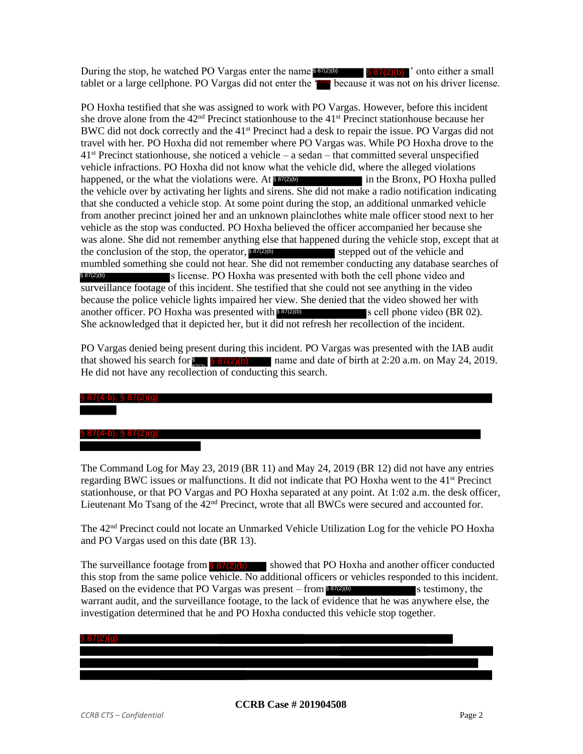During the stop, he watched PO Vargas enter the name  $\frac{887(2)(b)}{887(2)(b)}$  onto either a small tablet or a large cellphone. PO Vargas did not enter the **Form** because it was not on his driver license.

PO Hoxha testified that she was assigned to work with PO Vargas. However, before this incident she drove alone from the  $42<sup>nd</sup>$  Precinct stationhouse to the  $41<sup>st</sup>$  Precinct stationhouse because her BWC did not dock correctly and the 41st Precinct had a desk to repair the issue. PO Vargas did not travel with her. PO Hoxha did not remember where PO Vargas was. While PO Hoxha drove to the  $41<sup>st</sup>$  Precinct stationhouse, she noticed a vehicle – a sedan – that committed several unspecified vehicle infractions. PO Hoxha did not know what the vehicle did, where the alleged violations happened, or the what the violations were. At **\$37(2)(b)** in the Bronx, PO Hoxha pulled the vehicle over by activating her lights and sirens. She did not make a radio notification indicating that she conducted a vehicle stop. At some point during the stop, an additional unmarked vehicle from another precinct joined her and an unknown plainclothes white male officer stood next to her vehicle as the stop was conducted. PO Hoxha believed the officer accompanied her because she was alone. She did not remember anything else that happened during the vehicle stop, except that at the conclusion of the stop, the operator, \$87(2)(b) stepped out of the vehicle and mumbled something she could not hear. She did not remember conducting any database searches of s license. PO Hoxha was presented with both the cell phone video and surveillance footage of this incident. She testified that she could not see anything in the video because the police vehicle lights impaired her view. She denied that the video showed her with another officer. PO Hoxha was presented with  $\frac{87(2)}{6}$  s cell phone video (BR 02). She acknowledged that it depicted her, but it did not refresh her recollection of the incident. § 87(2)(b) is watched PO Vargas states the name **Engical** states.<br>
Withhome. PO Vargas did not enter the **THE CONDUMBLE TO WE** that she was assigned to work with PO Vargas. However, the that she was assigned to work with PO Vargas.

PO Vargas denied being present during this incident. PO Vargas was presented with the IAB audit that showed his search for  $\S$ ,  $\S 87(2)$  (b) name and date of birth at 2:20 a.m. on May 24, 2019. He did not have any recollection of conducting this search.

# § 87(4-b), § 87(2)(g) § 87(4-b), § 87(2)(g)

The Command Log for May 23, 2019 (BR 11) and May 24, 2019 (BR 12) did not have any entries regarding BWC issues or malfunctions. It did not indicate that PO Hoxha went to the 41st Precinct stationhouse, or that PO Vargas and PO Hoxha separated at any point. At 1:02 a.m. the desk officer, Lieutenant Mo Tsang of the  $42<sup>nd</sup>$  Precinct, wrote that all BWCs were secured and accounted for.

The 42nd Precinct could not locate an Unmarked Vehicle Utilization Log for the vehicle PO Hoxha and PO Vargas used on this date (BR 13).

The surveillance footage from  $\frac{887(2)(b)}{2}$  showed that PO Hoxha and another officer conducted this stop from the same police vehicle. No additional officers or vehicles responded to this incident. Based on the evidence that PO Vargas was present – from  $\frac{887(2)}{6}$  s testimony, the warrant audit, and the surveillance footage, to the lack of evidence that he was anywhere else, the investigation determined that he and PO Hoxha conducted this vehicle stop together.

| S. |  |
|----|--|
|    |  |
|    |  |
|    |  |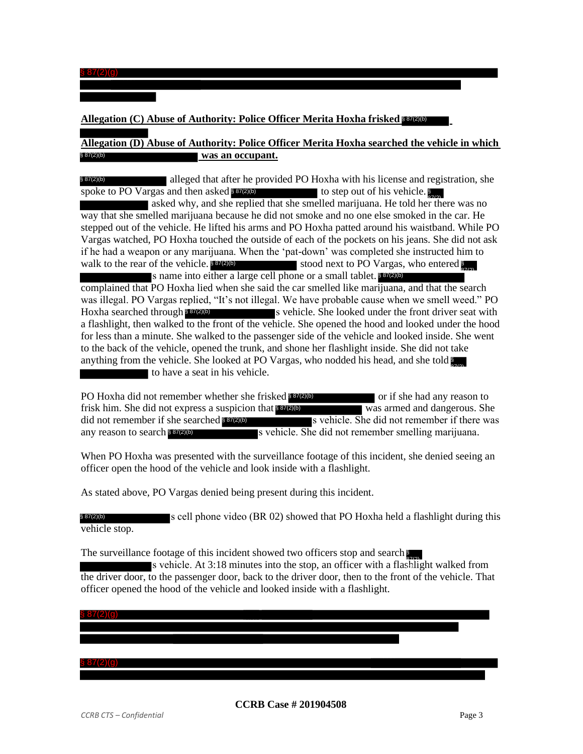$\frac{1}{2}$  87(2)(g)

#### **Allegation (C) Abuse of Authority: Police Officer Merita Hoxha frisked**  § 87(2)(b)

#### **Allegation (D) Abuse of Authority: Police Officer Merita Hoxha searched the vehicle in which was an occupant.** § 87(2)(b)

alleged that after he provided PO Hoxha with his license and registration, she spoke to PO Vargas and then asked **\$37(2)(b)** to step out of his vehicle. § 87(2)(b)

asked why, and she replied that she smelled marijuana. He told her there was no way that she smelled marijuana because he did not smoke and no one else smoked in the car. He stepped out of the vehicle. He lifted his arms and PO Hoxha patted around his waistband. While PO Vargas watched, PO Hoxha touched the outside of each of the pockets on his jeans. She did not ask if he had a weapon or any marijuana. When the 'pat-down' was completed she instructed him to walk to the rear of the vehicle. 887(2)(b) stood next to PO Vargas, who entered s name into either a large cell phone or a small tablet. \$87(2)(b) complained that PO Hoxha lied when she said the car smelled like marijuana, and that the search walk to the rear of the vehicle.  $$87(2)(b)$ 87(2)

was illegal. PO Vargas replied, "It's not illegal. We have probable cause when we smell weed." PO s vehicle. She looked under the front driver seat with a flashlight, then walked to the front of the vehicle. She opened the hood and looked under the hood for less than a minute. She walked to the passenger side of the vehicle and looked inside. She went to the back of the vehicle, opened the trunk, and shone her flashlight inside. She did not take anything from the vehicle. She looked at PO Vargas, who nodded his head, and she told  $\sum_{n=1}^{\infty}$ to have a seat in his vehicle. Hoxha searched through \$87(2)(b)

PO Hoxha did not remember whether she frisked **\$87(2)(b)** or if she had any reason to frisk him. She did not express a suspicion that **887(2)(b)** was armed and dangerous. She s vehicle. She did not remember if there was s vehicle. She did not remember smelling marijuana. did not remember if she searched \$87(2)(b) any reason to search § 87(2)(b)

When PO Hoxha was presented with the surveillance footage of this incident, she denied seeing an officer open the hood of the vehicle and look inside with a flashlight.

As stated above, PO Vargas denied being present during this incident.

s cell phone video (BR 02) showed that PO Hoxha held a flashlight during this vehicle stop. § 87(2)(b)

The surveillance footage of this incident showed two officers stop and search

87(2)

s vehicle. At 3:18 minutes into the stop, an officer with a flashlight walked from the driver door, to the passenger door, back to the driver door, then to the front of the vehicle. That officer opened the hood of the vehicle and looked inside with a flashlight.

#### $§ 87(2)(q)$

§ 87(2)(g)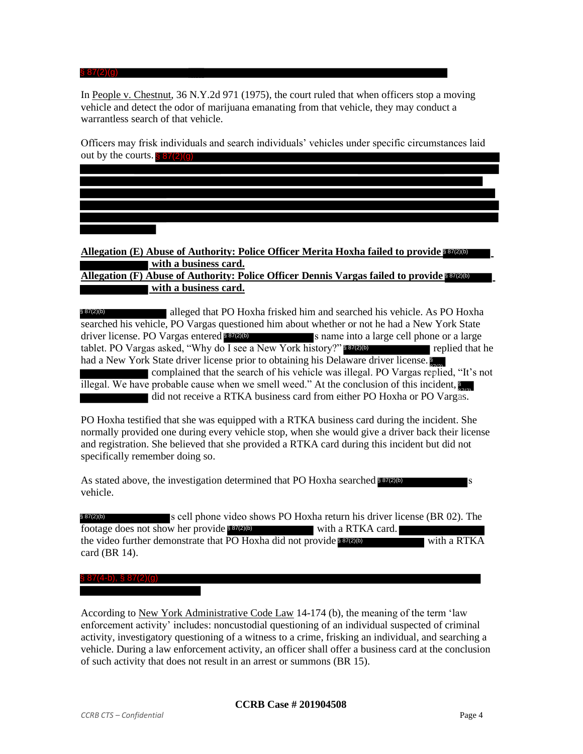In People v. Chestnut, 36 N.Y.2d 971 (1975), the court ruled that when officers stop a moving vehicle and detect the odor of marijuana emanating from that vehicle, they may conduct a warrantless search of that vehicle.

87(2)

Officers may frisk individuals and search individuals' vehicles under specific circumstances laid out by the courts.  $\frac{8}{5}$  87(2)(g)

**Allegation (E) Abuse of Authority: Police Officer Merita Hoxha failed to provide**  § 87(2)(b) **with a business card.**

**Allegation (F) Abuse of Authority: Police Officer Dennis Vargas failed to provide**  § 87(2)(b) **with a business card.**

alleged that PO Hoxha frisked him and searched his vehicle. As PO Hoxha searched his vehicle, PO Vargas questioned him about whether or not he had a New York State s name into a large cell phone or a large tablet. PO Vargas asked, "Why do I see a New York history?" [87(2)(b) replied that he had a New York State driver license prior to obtaining his Delaware driver license. § 87(2)(b) driver license. PO Vargas entered \$87(2)(b) **EVIDE** In People v. Chestnut, 36 N.Y. 2d 971 (1975), the court ruled that twe vehicle and detect the odor of marijuana emanating from that vehicle warrantless search of that vehicle.<br>
Officers may frisk individuals and s

complained that the search of his vehicle was illegal. PO Vargas replied, "It's not illegal. We have probable cause when we smell weed." At the conclusion of this incident,  $\frac{1}{2}$  did not receive a RTKA business card from either PO Hoxha or PO Vargas.

PO Hoxha testified that she was equipped with a RTKA business card during the incident. She normally provided one during every vehicle stop, when she would give a driver back their license and registration. She believed that she provided a RTKA card during this incident but did not specifically remember doing so.

As stated above, the investigation determined that PO Hoxha searched \$87(2)(b) s vehicle.

s cell phone video shows PO Hoxha return his driver license (BR 02). The footage does not show her provide 887(2)(b) with a RTKA card. the video further demonstrate that PO Hoxha did not provide **837200** with a RTKA card (BR 14). § 87(2)(b)

#### § 87(4-b), § 87(2)(g)

According to New York Administrative Code Law 14-174 (b), the meaning of the term 'law enforcement activity' includes: noncustodial questioning of an individual suspected of criminal activity, investigatory questioning of a witness to a crime, frisking an individual, and searching a vehicle. During a law enforcement activity, an officer shall offer a business card at the conclusion of such activity that does not result in an arrest or summons (BR 15).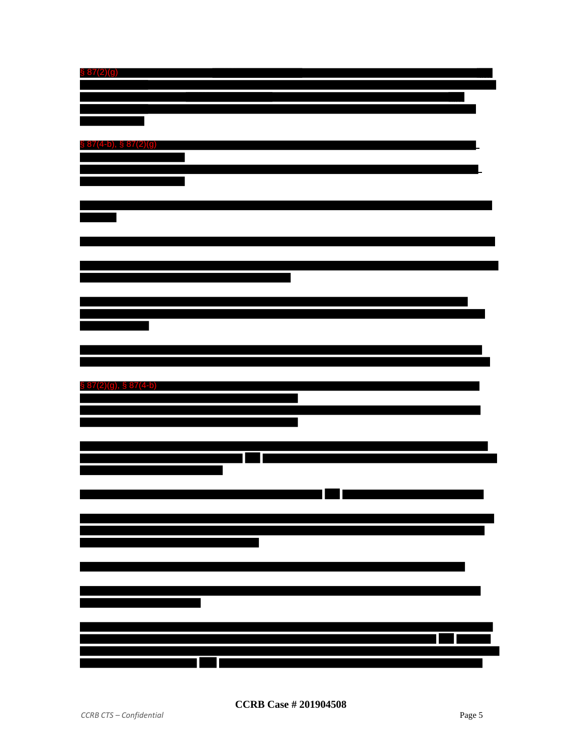| $\$ 87(2)(9)$               |  |
|-----------------------------|--|
|                             |  |
|                             |  |
|                             |  |
|                             |  |
|                             |  |
| $\S 87(4-b), \ \S 87(2)(g)$ |  |
|                             |  |
|                             |  |
|                             |  |
|                             |  |
|                             |  |
|                             |  |
|                             |  |
|                             |  |
|                             |  |
|                             |  |
|                             |  |
|                             |  |
|                             |  |
|                             |  |
|                             |  |
|                             |  |
|                             |  |
|                             |  |
|                             |  |
|                             |  |
| § 87(2)(g), § 87(4-b)       |  |
|                             |  |
|                             |  |
|                             |  |
|                             |  |
|                             |  |
|                             |  |
|                             |  |
|                             |  |
|                             |  |
|                             |  |
|                             |  |
|                             |  |
|                             |  |
|                             |  |
|                             |  |
|                             |  |
|                             |  |
|                             |  |
|                             |  |
|                             |  |
|                             |  |
|                             |  |
| Íľ<br>1                     |  |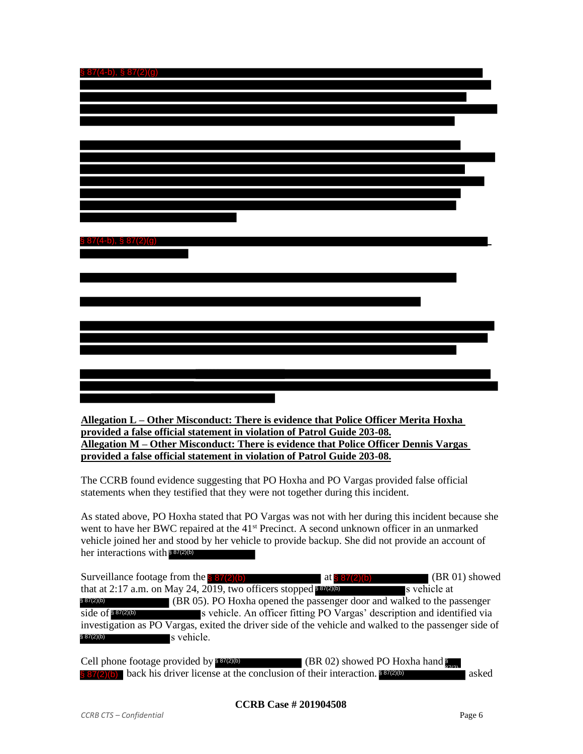| $\S 87(4-b), \ \S 87(2)(g)$     |  |
|---------------------------------|--|
|                                 |  |
|                                 |  |
|                                 |  |
|                                 |  |
|                                 |  |
|                                 |  |
|                                 |  |
|                                 |  |
|                                 |  |
|                                 |  |
|                                 |  |
|                                 |  |
|                                 |  |
| $(4-b),$ § 87 $(2)(g)$<br>\$ 81 |  |
|                                 |  |
|                                 |  |
|                                 |  |
|                                 |  |
|                                 |  |
|                                 |  |
|                                 |  |
|                                 |  |
|                                 |  |
|                                 |  |
|                                 |  |
|                                 |  |

**Allegation L – Other Misconduct: There is evidence that Police Officer Merita Hoxha provided a false official statement in violation of Patrol Guide 203-08. Allegation M – Other Misconduct: There is evidence that Police Officer Dennis Vargas provided a false official statement in violation of Patrol Guide 203-08.**

The CCRB found evidence suggesting that PO Hoxha and PO Vargas provided false official statements when they testified that they were not together during this incident.

As stated above, PO Hoxha stated that PO Vargas was not with her during this incident because she went to have her BWC repaired at the 41<sup>st</sup> Precinct. A second unknown officer in an unmarked vehicle joined her and stood by her vehicle to provide backup. She did not provide an account of her interactions with \$87(2)(b)

Surveillance footage from the  $\frac{8}{87(2)(b)}$  at  $\frac{87(2)(b)}{87(2)(b)}$  (BR 01) showed that at 2:17 a.m. on May 24, 2019, two officers stopped  $87(2)$ (b) s vehicle at (BR 05). PO Hoxha opened the passenger door and walked to the passenger s vehicle. An officer fitting PO Vargas' description and identified via investigation as PO Vargas, exited the driver side of the vehicle and walked to the passenger side of s vehicle. § 87(2)(b) side of § 87(2)(b) § 87(2)(b) at  $\S 87(2)$ (b)

Cell phone footage provided by \$87(2)(b) § 87(2)(b) back his driver license at the conclusion of their interaction. 887(2)(b) asked  $\frac{\$87(2)(b)}{2}$  (BR 02) showed PO Hoxha hand  $\frac{\$}{\$2}$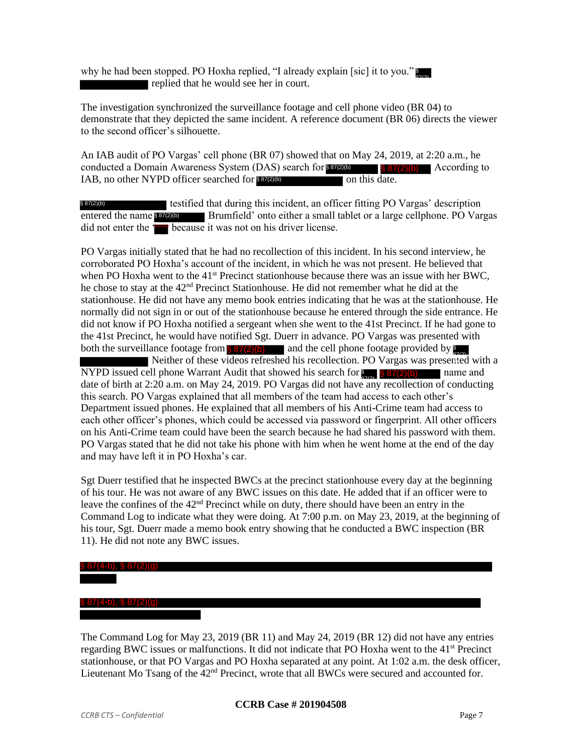why he had been stopped. PO Hoxha replied, "I already explain [sic] it to you." replied that he would see her in court.

The investigation synchronized the surveillance footage and cell phone video (BR 04) to demonstrate that they depicted the same incident. A reference document (BR 06) directs the viewer to the second officer's silhouette.

An IAB audit of PO Vargas' cell phone (BR 07) showed that on May 24, 2019, at 2:20 a.m., he conducted a Domain Awareness System (DAS) search for  $\frac{87(2)(6)}{587(2)(6)}$  According to IAB, no other NYPD officer searched for **837(2)(b)** on this date.  $\frac{887(2)(b)}{2}$  According to

testified that during this incident, an officer fitting PO Vargas' description entered the name 8 87(2)(b) Brumfield' onto either a small tablet or a large cellphone. PO Vargas did not enter the **First** because it was not on his driver license. § 87(2)(b)

PO Vargas initially stated that he had no recollection of this incident. In his second interview, he corroborated PO Hoxha's account of the incident, in which he was not present. He believed that when PO Hoxha went to the 41<sup>st</sup> Precinct stationhouse because there was an issue with her BWC, he chose to stay at the 42nd Precinct Stationhouse. He did not remember what he did at the stationhouse. He did not have any memo book entries indicating that he was at the stationhouse. He normally did not sign in or out of the stationhouse because he entered through the side entrance. He did not know if PO Hoxha notified a sergeant when she went to the 41st Precinct. If he had gone to the 41st Precinct, he would have notified Sgt. Duerr in advance. PO Vargas was presented with both the surveillance footage from  $\S 87(2)(b)$  and the cell phone footage provided by Neither of these videos refreshed his recollection. PO Vargas was presented with a NYPD issued cell phone Warrant Audit that showed his search for  $\frac{1}{20}$   $\frac{1}{8}$  87(2)(b) name and date of birth at  $2:20$  a.m. on May 24, 2019. PO Vargas did not have any recollection of conducting this search. PO Vargas explained that all members of the team had access to each other's Department issued phones. He explained that all members of his Anti-Crime team had access to each other officer's phones, which could be accessed via password or fingerprint. All other officers

on his Anti-Crime team could have been the search because he had shared his password with them. PO Vargas stated that he did not take his phone with him when he went home at the end of the day and may have left it in PO Hoxha's car.

Sgt Duerr testified that he inspected BWCs at the precinct stationhouse every day at the beginning of his tour. He was not aware of any BWC issues on this date. He added that if an officer were to leave the confines of the 42<sup>nd</sup> Precinct while on duty, there should have been an entry in the Command Log to indicate what they were doing. At 7:00 p.m. on May 23, 2019, at the beginning of his tour, Sgt. Duerr made a memo book entry showing that he conducted a BWC inspection (BR 11). He did not note any BWC issues.

#### § 87(4-b), § 87(2)(g)

### § 87(4-b), § 87(2)(g)

The Command Log for May 23, 2019 (BR 11) and May 24, 2019 (BR 12) did not have any entries regarding BWC issues or malfunctions. It did not indicate that PO Hoxha went to the 41<sup>st</sup> Precinct stationhouse, or that PO Vargas and PO Hoxha separated at any point. At 1:02 a.m. the desk officer, Lieutenant Mo Tsang of the 42nd Precinct, wrote that all BWCs were secured and accounted for.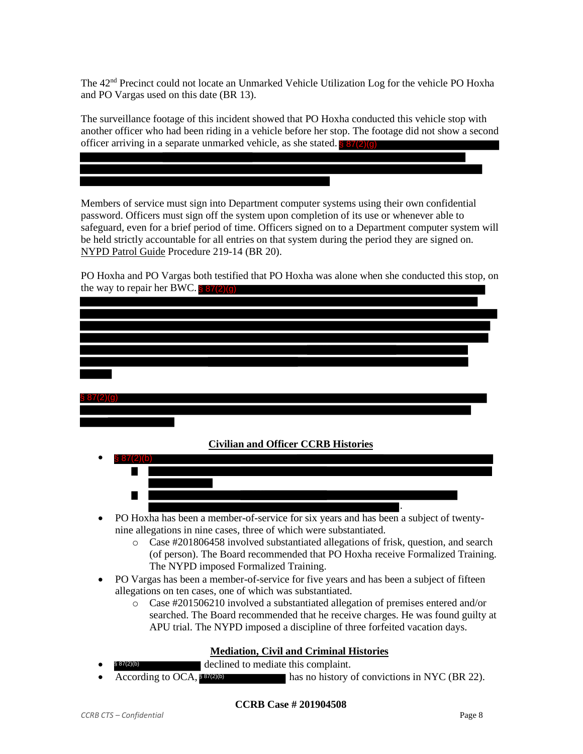The 42nd Precinct could not locate an Unmarked Vehicle Utilization Log for the vehicle PO Hoxha and PO Vargas used on this date (BR 13).

The surveillance footage of this incident showed that PO Hoxha conducted this vehicle stop with another officer who had been riding in a vehicle before her stop. The footage did not show a second officer arriving in a separate unmarked vehicle, as she stated. **§ 87(2)(g)** 

Members of service must sign into Department computer systems using their own confidential password. Officers must sign off the system upon completion of its use or whenever able to safeguard, even for a brief period of time. Officers signed on to a Department computer system will be held strictly accountable for all entries on that system during the period they are signed on. NYPD Patrol Guide Procedure 219-14 (BR 20).

| PO Hoxha and PO Vargas both testified that PO Hoxha was alone when she conducted this stop, on |  |
|------------------------------------------------------------------------------------------------|--|
| the way to repair her BWC. $\frac{8}{3}$ 87(2)(g)                                              |  |
|                                                                                                |  |

| <b>Civilian and Officer CCRB Histories</b>                                                                                                                         |
|--------------------------------------------------------------------------------------------------------------------------------------------------------------------|
|                                                                                                                                                                    |
|                                                                                                                                                                    |
|                                                                                                                                                                    |
|                                                                                                                                                                    |
| PO Hoxha has been a member-of-service for six years and has been a subject of twenty-                                                                              |
| nine allegations in nine cases, three of which were substantiated.<br>Case #201806458 involved substantiated allegations of frisk, question, and search<br>$\circ$ |
| (of person). The Board recommended that PO Hoxha receive Formalized Training.                                                                                      |
| The NYPD imposed Formalized Training.                                                                                                                              |
| PO Vargas has been a member-of-service for five years and has been a subject of fifteen                                                                            |
| allegations on ten cases, one of which was substantiated.                                                                                                          |
| Case #201506210 involved a substantiated allegation of premises entered and/or<br>$\circ$                                                                          |
| searched. The Board recommended that he receive charges. He was found guilty at                                                                                    |
| APU trial. The NYPD imposed a discipline of three forfeited vacation days.                                                                                         |

## **Mediation, Civil and Criminal Histories**

- declined to mediate this complaint. § 87(2)(b)
- has no history of convictions in NYC (BR 22). According to OCA, § 87(2)(b)

#### **CCRB Case # 201904508**